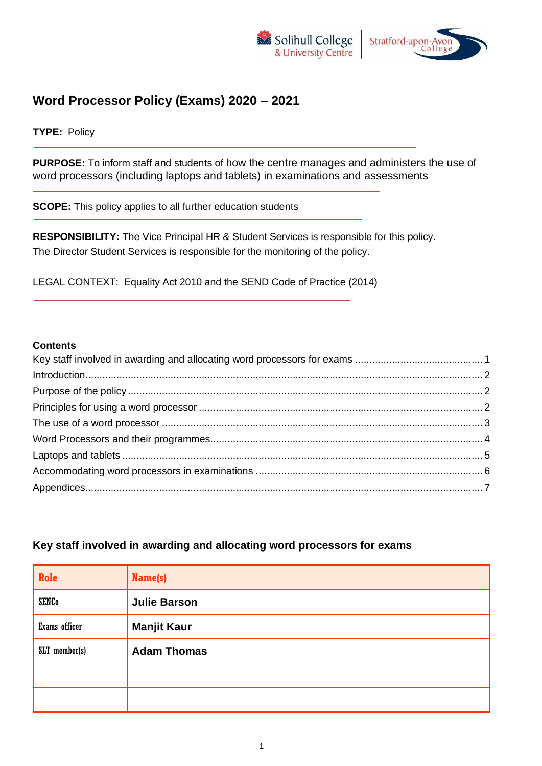



# **Word Processor Policy (Exams) 2020 – 2021**

**TYPE:** Policy

**PURPOSE:** To inform staff and students of how the centre manages and administers the use of word processors (including laptops and tablets) in examinations and assessments

**SCOPE:** This policy applies to all further education students

**RESPONSIBILITY:** The Vice Principal HR & Student Services is responsible for this policy. The Director Student Services is responsible for the monitoring of the policy.

LEGAL CONTEXT: Equality Act 2010 and the SEND Code of Practice (2014)

#### **Contents**

#### <span id="page-0-0"></span>**Key staff involved in awarding and allocating word processors for exams**

| Role          | Name(s)             |
|---------------|---------------------|
| <b>SENCo</b>  | <b>Julie Barson</b> |
| Exams officer | <b>Manjit Kaur</b>  |
| SLT member(s) | <b>Adam Thomas</b>  |
|               |                     |
|               |                     |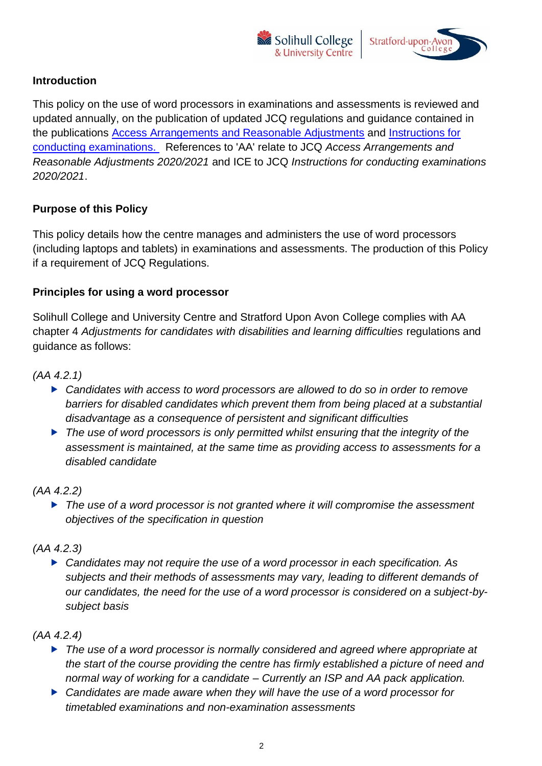



## <span id="page-1-0"></span>**Introduction**

This policy on the use of word processors in examinations and assessments is reviewed and updated annually, on the publication of updated JCQ regulations and guidance contained in the publications [Access Arrangements and Reasonable Adjustments](http://www.jcq.org.uk/exams-office/access-arrangements-and-special-consideration/regulations-and-guidance) and [Instructions for](http://www.jcq.org.uk/exams-office/ice---instructions-for-conducting-examinations)  [conducting examinations.](http://www.jcq.org.uk/exams-office/ice---instructions-for-conducting-examinations) References to 'AA' relate to JCQ *Access Arrangements and Reasonable Adjustments 2020/2021* and ICE to JCQ *Instructions for conducting examinations 2020/2021*.

## <span id="page-1-1"></span>**Purpose of this Policy**

This policy details how the centre manages and administers the use of word processors (including laptops and tablets) in examinations and assessments. The production of this Policy if a requirement of JCQ Regulations.

#### <span id="page-1-2"></span>**Principles for using a word processor**

Solihull College and University Centre and Stratford Upon Avon College complies with AA chapter 4 *Adjustments for candidates with disabilities and learning difficulties* regulations and guidance as follows:

*(AA 4.2.1)* 

- *Candidates with access to word processors are allowed to do so in order to remove barriers for disabled candidates which prevent them from being placed at a substantial disadvantage as a consequence of persistent and significant difficulties*
- *The use of word processors is only permitted whilst ensuring that the integrity of the assessment is maintained, at the same time as providing access to assessments for a disabled candidate*

## *(AA 4.2.2)*

 *The use of a word processor is not granted where it will compromise the assessment objectives of the specification in question*

## *(AA 4.2.3)*

 *Candidates may not require the use of a word processor in each specification. As subjects and their methods of assessments may vary, leading to different demands of our candidates, the need for the use of a word processor is considered on a subject-bysubject basis*

## *(AA 4.2.4)*

- *The use of a word processor is normally considered and agreed where appropriate at the start of the course providing the centre has firmly established a picture of need and normal way of working for a candidate – Currently an ISP and AA pack application.*
- *Candidates are made aware when they will have the use of a word processor for timetabled examinations and non-examination assessments*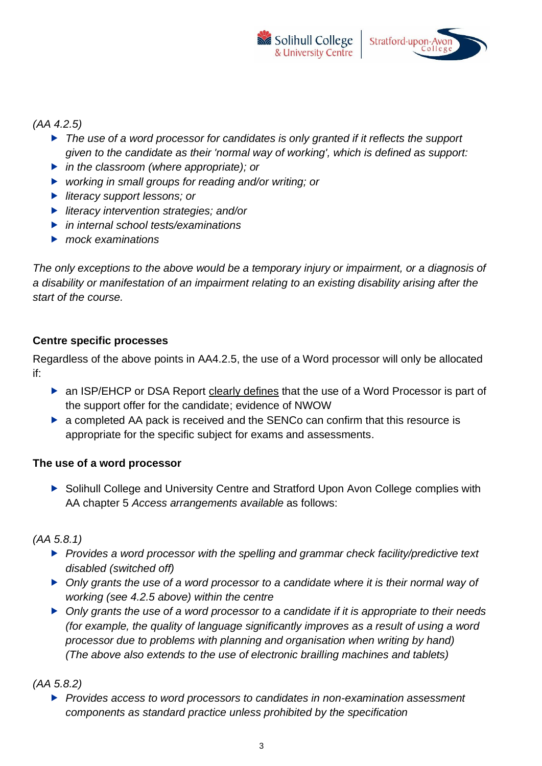



#### *(AA 4.2.5)*

- *The use of a word processor for candidates is only granted if it reflects the support given to the candidate as their 'normal way of working', which is defined as support:*
- *in the classroom (where appropriate); or*
- *working in small groups for reading and/or writing; or*
- *literacy support lessons; or*
- *literacy intervention strategies; and/or*
- *in internal school tests/examinations*
- *mock examinations*

*The only exceptions to the above would be a temporary injury or impairment, or a diagnosis of a disability or manifestation of an impairment relating to an existing disability arising after the start of the course.*

#### **Centre specific processes**

Regardless of the above points in AA4.2.5, the use of a Word processor will only be allocated if:

- ▶ an ISP/EHCP or DSA Report clearly defines that the use of a Word Processor is part of the support offer for the candidate; evidence of NWOW
- ▶ a completed AA pack is received and the SENCo can confirm that this resource is appropriate for the specific subject for exams and assessments.

#### <span id="page-2-0"></span>**The use of a word processor**

▶ Solihull College and University Centre and Stratford Upon Avon College complies with AA chapter 5 *Access arrangements available* as follows:

#### *(AA 5.8.1)*

- *Provides a word processor with the spelling and grammar check facility/predictive text disabled (switched off)*
- *Only grants the use of a word processor to a candidate where it is their normal way of working (see 4.2.5 above) within the centre*
- *Only grants the use of a word processor to a candidate if it is appropriate to their needs (for example, the quality of language significantly improves as a result of using a word processor due to problems with planning and organisation when writing by hand) (The above also extends to the use of electronic brailling machines and tablets)*

*(AA 5.8.2)* 

 *Provides access to word processors to candidates in non-examination assessment components as standard practice unless prohibited by the specification*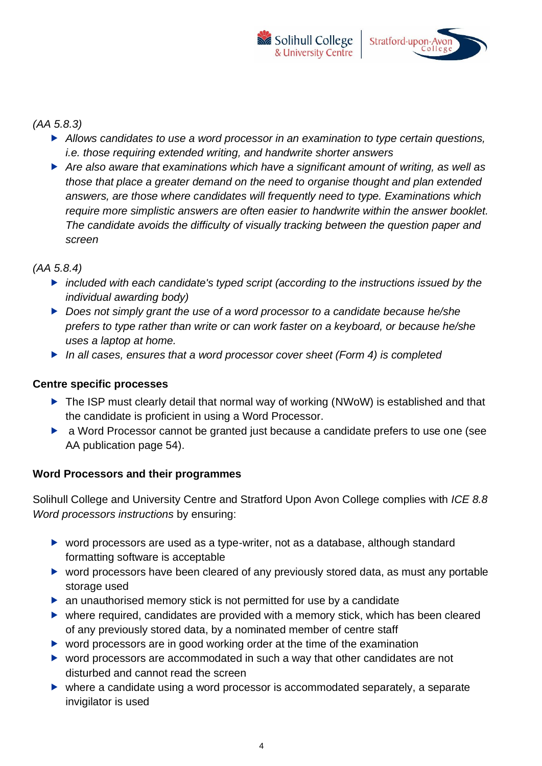

#### *(AA 5.8.3)*

- *Allows candidates to use a word processor in an examination to type certain questions, i.e. those requiring extended writing, and handwrite shorter answers*
- *Are also aware that examinations which have a significant amount of writing, as well as those that place a greater demand on the need to organise thought and plan extended answers, are those where candidates will frequently need to type. Examinations which require more simplistic answers are often easier to handwrite within the answer booklet. The candidate avoids the difficulty of visually tracking between the question paper and screen*

## *(AA 5.8.4)*

- *included with each candidate's typed script (according to the instructions issued by the individual awarding body)*
- *Does not simply grant the use of a word processor to a candidate because he/she prefers to type rather than write or can work faster on a keyboard, or because he/she uses a laptop at home.*
- *In all cases, ensures that a word processor cover sheet (Form 4) is completed*

#### **Centre specific processes**

- ▶ The ISP must clearly detail that normal way of working (NWoW) is established and that the candidate is proficient in using a Word Processor.
- a Word Processor cannot be granted just because a candidate prefers to use one (see AA publication page 54).

## <span id="page-3-0"></span>**Word Processors and their programmes**

Solihull College and University Centre and Stratford Upon Avon College complies with *ICE 8.8 Word processors instructions* by ensuring:

- ▶ word processors are used as a type-writer, not as a database, although standard formatting software is acceptable
- ▶ word processors have been cleared of any previously stored data, as must any portable storage used
- ▶ an unauthorised memory stick is not permitted for use by a candidate
- where required, candidates are provided with a memory stick, which has been cleared of any previously stored data, by a nominated member of centre staff
- ▶ word processors are in good working order at the time of the examination
- ▶ word processors are accommodated in such a way that other candidates are not disturbed and cannot read the screen
- where a candidate using a word processor is accommodated separately, a separate invigilator is used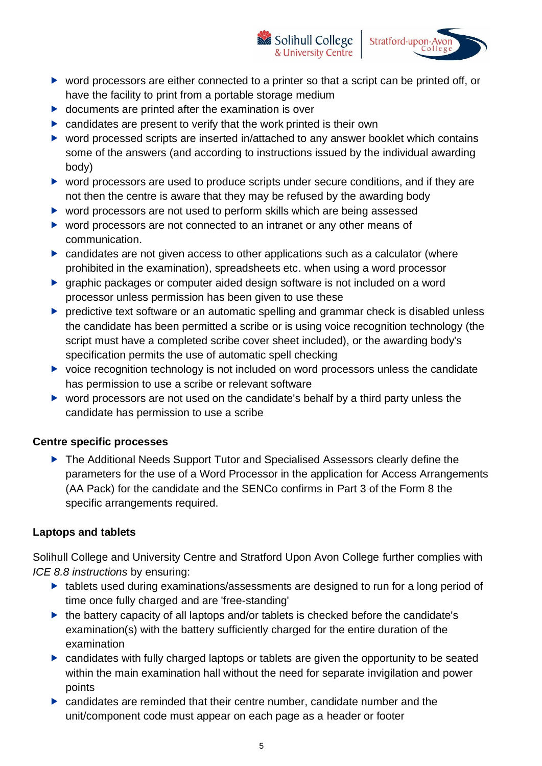▶ word processors are either connected to a printer so that a script can be printed off, or have the facility to print from a portable storage medium

Solihull College

& University Centre

Stratford-upon-Avon

- $\triangleright$  documents are printed after the examination is over
- $\triangleright$  candidates are present to verify that the work printed is their own
- ▶ word processed scripts are inserted in/attached to any answer booklet which contains some of the answers (and according to instructions issued by the individual awarding body)
- ▶ word processors are used to produce scripts under secure conditions, and if they are not then the centre is aware that they may be refused by the awarding body
- ▶ word processors are not used to perform skills which are being assessed
- ▶ word processors are not connected to an intranet or any other means of communication.
- ▶ candidates are not given access to other applications such as a calculator (where prohibited in the examination), spreadsheets etc. when using a word processor
- graphic packages or computer aided design software is not included on a word processor unless permission has been given to use these
- **P** predictive text software or an automatic spelling and grammar check is disabled unless the candidate has been permitted a scribe or is using voice recognition technology (the script must have a completed scribe cover sheet included), or the awarding body's specification permits the use of automatic spell checking
- $\triangleright$  voice recognition technology is not included on word processors unless the candidate has permission to use a scribe or relevant software
- ▶ word processors are not used on the candidate's behalf by a third party unless the candidate has permission to use a scribe

## **Centre specific processes**

▶ The Additional Needs Support Tutor and Specialised Assessors clearly define the parameters for the use of a Word Processor in the application for Access Arrangements (AA Pack) for the candidate and the SENCo confirms in Part 3 of the Form 8 the specific arrangements required.

## <span id="page-4-0"></span>**Laptops and tablets**

Solihull College and University Centre and Stratford Upon Avon College further complies with *ICE 8.8 instructions* by ensuring:

- ▶ tablets used during examinations/assessments are designed to run for a long period of time once fully charged and are 'free-standing'
- ▶ the battery capacity of all laptops and/or tablets is checked before the candidate's examination(s) with the battery sufficiently charged for the entire duration of the examination
- candidates with fully charged laptops or tablets are given the opportunity to be seated within the main examination hall without the need for separate invigilation and power points
- candidates are reminded that their centre number, candidate number and the unit/component code must appear on each page as a header or footer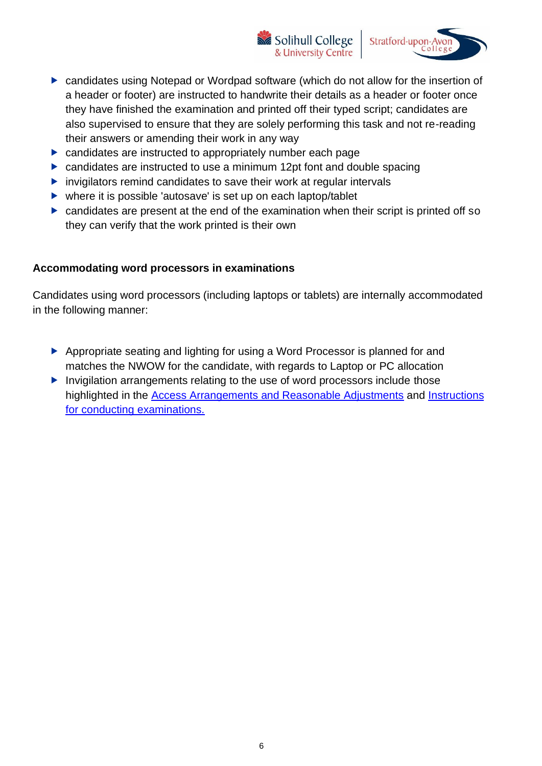candidates using Notepad or Wordpad software (which do not allow for the insertion of a header or footer) are instructed to handwrite their details as a header or footer once they have finished the examination and printed off their typed script; candidates are also supervised to ensure that they are solely performing this task and not re-reading their answers or amending their work in any way

Solihull College

& University Centre

Stratford-upon-Avon

- candidates are instructed to appropriately number each page
- ▶ candidates are instructed to use a minimum 12pt font and double spacing
- $\triangleright$  invigilators remind candidates to save their work at regular intervals
- where it is possible 'autosave' is set up on each laptop/tablet
- candidates are present at the end of the examination when their script is printed off so they can verify that the work printed is their own

#### <span id="page-5-0"></span>**Accommodating word processors in examinations**

Candidates using word processors (including laptops or tablets) are internally accommodated in the following manner:

- Appropriate seating and lighting for using a Word Processor is planned for and matches the NWOW for the candidate, with regards to Laptop or PC allocation
- Invigilation arrangements relating to the use of word processors include those highlighted in the [Access Arrangements and Reasonable Adjustments](http://www.jcq.org.uk/exams-office/access-arrangements-and-special-consideration/regulations-and-guidance) and [Instructions](http://www.jcq.org.uk/exams-office/ice---instructions-for-conducting-examinations) [for conducting examinations.](http://www.jcq.org.uk/exams-office/ice---instructions-for-conducting-examinations)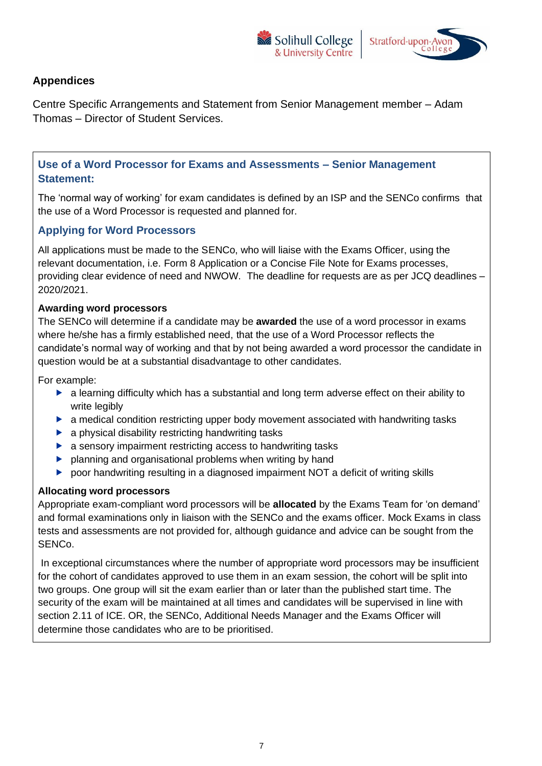



## <span id="page-6-0"></span>**Appendices**

Centre Specific Arrangements and Statement from Senior Management member – Adam Thomas – Director of Student Services.

**Use of a Word Processor for Exams and Assessments – Senior Management Statement:**

The 'normal way of working' for exam candidates is defined by an ISP and the SENCo confirms that the use of a Word Processor is requested and planned for.

#### **Applying for Word Processors**

All applications must be made to the SENCo, who will liaise with the Exams Officer, using the relevant documentation, i.e. Form 8 Application or a Concise File Note for Exams processes, providing clear evidence of need and NWOW. The deadline for requests are as per JCQ deadlines – 2020/2021.

#### **Awarding word processors**

The SENCo will determine if a candidate may be **awarded** the use of a word processor in exams where he/she has a firmly established need, that the use of a Word Processor reflects the candidate's normal way of working and that by not being awarded a word processor the candidate in question would be at a substantial disadvantage to other candidates.

For example:

- $\blacktriangleright$  a learning difficulty which has a substantial and long term adverse effect on their ability to write legibly
- **a** medical condition restricting upper body movement associated with handwriting tasks
- $\blacktriangleright$  a physical disability restricting handwriting tasks
- $\blacktriangleright$  a sensory impairment restricting access to handwriting tasks
- **P** planning and organisational problems when writing by hand
- ▶ poor handwriting resulting in a diagnosed impairment NOT a deficit of writing skills

#### **Allocating word processors**

Appropriate exam-compliant word processors will be **allocated** by the Exams Team for 'on demand' and formal examinations only in liaison with the SENCo and the exams officer. Mock Exams in class tests and assessments are not provided for, although guidance and advice can be sought from the SENCo.

In exceptional circumstances where the number of appropriate word processors may be insufficient for the cohort of candidates approved to use them in an exam session, the cohort will be split into two groups. One group will sit the exam earlier than or later than the published start time. The security of the exam will be maintained at all times and candidates will be supervised in line with section 2.11 of ICE. OR, the SENCo, Additional Needs Manager and the Exams Officer will determine those candidates who are to be prioritised.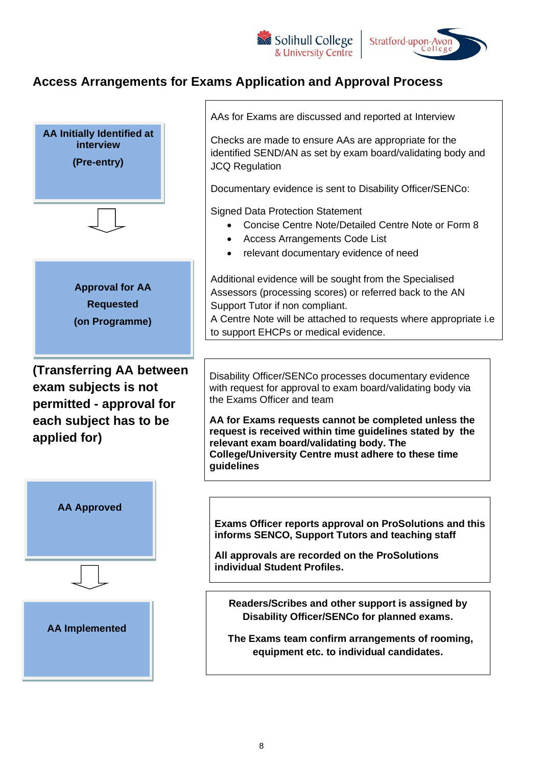



# **Access Arrangements for Exams Application and Approval Process**